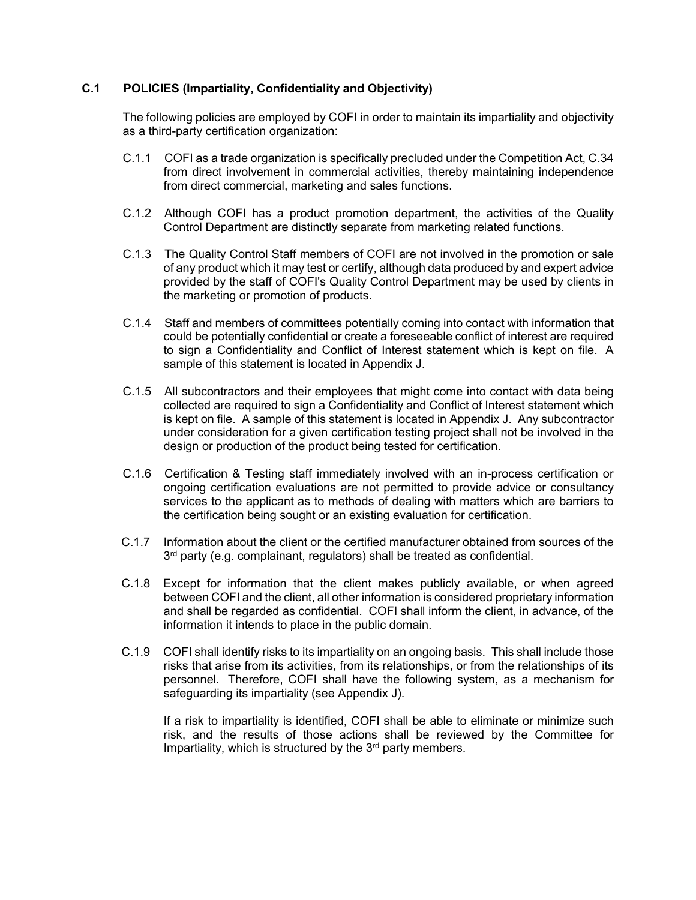## **C.1 POLICIES (Impartiality, Confidentiality and Objectivity)**

The following policies are employed by COFI in order to maintain its impartiality and objectivity as a third-party certification organization:

- C.1.1 COFI as a trade organization is specifically precluded under the Competition Act, C.34 from direct involvement in commercial activities, thereby maintaining independence from direct commercial, marketing and sales functions.
- C.1.2 Although COFI has a product promotion department, the activities of the Quality Control Department are distinctly separate from marketing related functions.
- C.1.3 The Quality Control Staff members of COFI are not involved in the promotion or sale of any product which it may test or certify, although data produced by and expert advice provided by the staff of COFI's Quality Control Department may be used by clients in the marketing or promotion of products.
- C.1.4 Staff and members of committees potentially coming into contact with information that could be potentially confidential or create a foreseeable conflict of interest are required to sign a Confidentiality and Conflict of Interest statement which is kept on file. A sample of this statement is located in Appendix J.
- C.1.5 All subcontractors and their employees that might come into contact with data being collected are required to sign a Confidentiality and Conflict of Interest statement which is kept on file. A sample of this statement is located in Appendix J. Any subcontractor under consideration for a given certification testing project shall not be involved in the design or production of the product being tested for certification.
- C.1.6 Certification & Testing staff immediately involved with an in-process certification or ongoing certification evaluations are not permitted to provide advice or consultancy services to the applicant as to methods of dealing with matters which are barriers to the certification being sought or an existing evaluation for certification.
- C.1.7 Information about the client or the certified manufacturer obtained from sources of the 3<sup>rd</sup> party (e.g. complainant, regulators) shall be treated as confidential.
- C.1.8 Except for information that the client makes publicly available, or when agreed between COFI and the client, all other information is considered proprietary information and shall be regarded as confidential. COFI shall inform the client, in advance, of the information it intends to place in the public domain.
- C.1.9 COFI shall identify risks to its impartiality on an ongoing basis. This shall include those risks that arise from its activities, from its relationships, or from the relationships of its personnel. Therefore, COFI shall have the following system, as a mechanism for safeguarding its impartiality (see Appendix J).

If a risk to impartiality is identified, COFI shall be able to eliminate or minimize such risk, and the results of those actions shall be reviewed by the Committee for Impartiality, which is structured by the  $3<sup>rd</sup>$  party members.